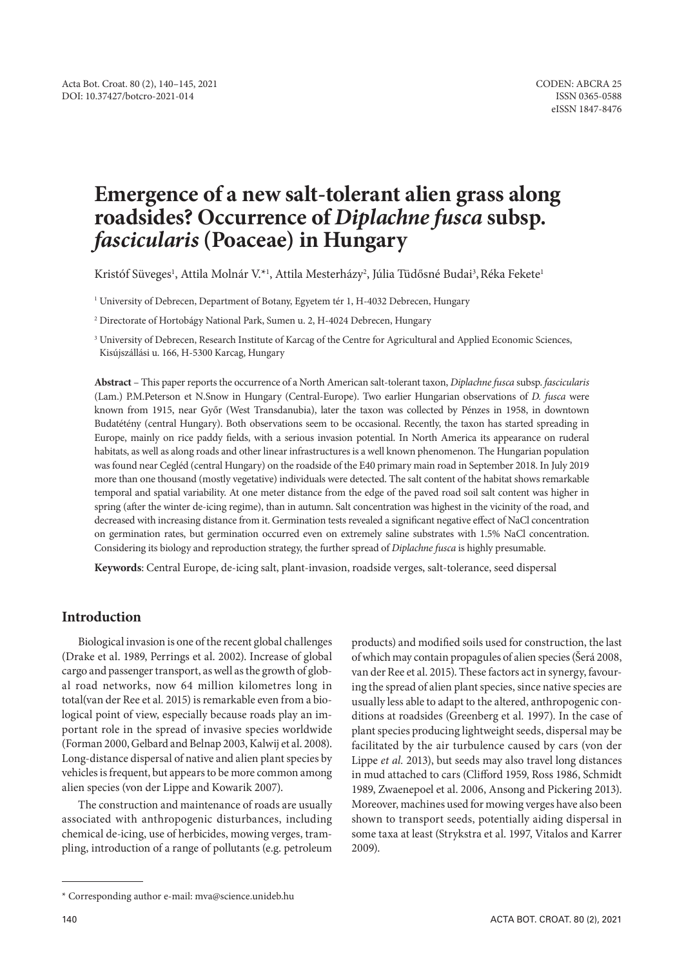# **Emergence of a new salt-tolerant alien grass along roadsides? Occurrence of** *Diplachne fusca* **subsp.** *fascicularis* **(Poaceae) in Hungary**

Kristóf Süveges<sup>1</sup>, Attila Molnár V.\*<sup>1</sup>, Attila Mesterházy<sup>2</sup>, Júlia Tüdősné Budai<sup>3</sup>, Réka Fekete<sup>1</sup>

1 University of Debrecen, Department of Botany, Egyetem tér 1, H-4032 Debrecen, Hungary

2 Directorate of Hortobágy National Park, Sumen u. 2, H-4024 Debrecen, Hungary

<sup>3</sup> University of Debrecen, Research Institute of Karcag of the Centre for Agricultural and Applied Economic Sciences, Kisújszállási u. 166, H-5300 Karcag, Hungary

**Abstract** – This paper reports the occurrence of a North American salt-tolerant taxon, *Diplachne fusca* subsp. *fascicularis* (Lam.) P.M.Peterson et N.Snow in Hungary (Central-Europe). Two earlier Hungarian observations of *D. fusca* were known from 1915, near Győr (West Transdanubia), later the taxon was collected by Pénzes in 1958, in downtown Budatétény (central Hungary). Both observations seem to be occasional. Recently, the taxon has started spreading in Europe, mainly on rice paddy fields, with a serious invasion potential. In North America its appearance on ruderal habitats, as well as along roads and other linear infrastructures is a well known phenomenon. The Hungarian population was found near Cegléd (central Hungary) on the roadside of the E40 primary main road in September 2018. In July 2019 more than one thousand (mostly vegetative) individuals were detected. The salt content of the habitat shows remarkable temporal and spatial variability. At one meter distance from the edge of the paved road soil salt content was higher in spring (after the winter de-icing regime), than in autumn. Salt concentration was highest in the vicinity of the road, and decreased with increasing distance from it. Germination tests revealed a significant negative effect of NaCl concentration on germination rates, but germination occurred even on extremely saline substrates with 1.5% NaCl concentration. Considering its biology and reproduction strategy, the further spread of *Diplachne fusca* is highly presumable.

**Keywords**: Central Europe, de-icing salt, plant-invasion, roadside verges, salt-tolerance, seed dispersal

## **Introduction**

Biological invasion is one of the recent global challenges (Drake et al. 1989, Perrings et al. 2002). Increase of global cargo and passenger transport, as well as the growth of global road networks, now 64 million kilometres long in total(van der Ree et al*.* 2015) is remarkable even from a biological point of view, especially because roads play an important role in the spread of invasive species worldwide (Forman 2000, Gelbard and Belnap 2003, Kalwij et al. 2008). Long-distance dispersal of native and alien plant species by vehicles is frequent, but appears to be more common among alien species (von der Lippe and Kowarik 2007).

The construction and maintenance of roads are usually associated with anthropogenic disturbances, including chemical de-icing, use of herbicides, mowing verges, trampling, introduction of a range of pollutants (e.g. petroleum

products) and modified soils used for construction, the last of which may contain propagules of alien species (Šerá 2008, van der Ree et al. 2015). These factors act in synergy, favouring the spread of alien plant species, since native species are usually less able to adapt to the altered, anthropogenic conditions at roadsides (Greenberg et al*.* 1997). In the case of plant species producing lightweight seeds, dispersal may be facilitated by the air turbulence caused by cars (von der Lippe *et al.* 2013), but seeds may also travel long distances in mud attached to cars (Clifford 1959, Ross 1986, Schmidt 1989, Zwaenepoel et al. 2006, Ansong and Pickering 2013). Moreover, machines used for mowing verges have also been shown to transport seeds, potentially aiding dispersal in some taxa at least (Strykstra et al. 1997, Vitalos and Karrer 2009).

<sup>\*</sup> Corresponding author e-mail: mva@science.unideb.hu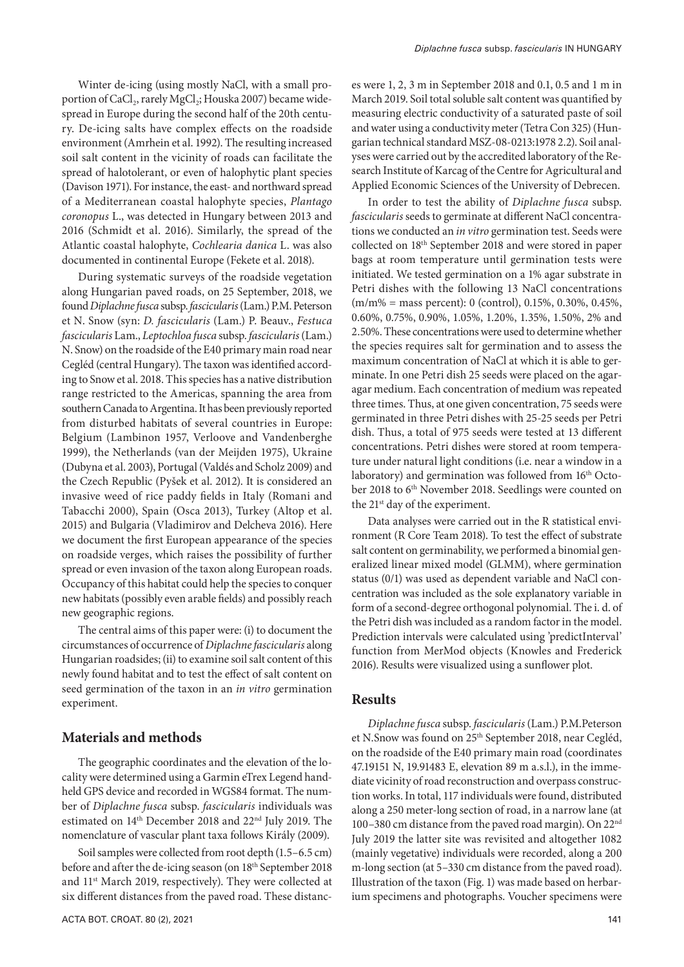Winter de-icing (using mostly NaCl, with a small proportion of CaCl<sub>2</sub>, rarely MgCl<sub>2</sub>; Houska 2007) became widespread in Europe during the second half of the 20th century. De-icing salts have complex effects on the roadside environment (Amrhein et al. 1992). The resulting increased soil salt content in the vicinity of roads can facilitate the spread of halotolerant, or even of halophytic plant species (Davison 1971). For instance, the east- and northward spread of a Mediterranean coastal halophyte species, *Plantago coronopus* L., was detected in Hungary between 2013 and 2016 (Schmidt et al. 2016). Similarly, the spread of the Atlantic coastal halophyte, *Cochlearia danica* L. was also documented in continental Europe (Fekete et al. 2018).

During systematic surveys of the roadside vegetation along Hungarian paved roads, on 25 September, 2018, we found *Diplachne fusca* subsp. *fascicularis* (Lam.) P.M. Peterson et N. Snow (syn: *D. fascicularis* (Lam.) P. Beauv., *Festuca fascicularis* Lam., *Leptochloa fusca* subsp. *fascicularis* (Lam.) N. Snow) on the roadside of the E40 primary main road near Cegléd (central Hungary). The taxon was identified according to Snow et al. 2018. This species has a native distribution range restricted to the Americas, spanning the area from southern Canada to Argentina. It has been previously reported from disturbed habitats of several countries in Europe: Belgium (Lambinon 1957, Verloove and Vandenberghe 1999), the Netherlands (van der Meijden 1975), Ukraine (Dubyna et al. 2003), Portugal (Valdés and Scholz 2009) and the Czech Republic (Pyšek et al. 2012). It is considered an invasive weed of rice paddy fields in Italy (Romani and Tabacchi 2000), Spain (Osca 2013), Turkey (Altop et al. 2015) and Bulgaria (Vladimirov and Delcheva 2016). Here we document the first European appearance of the species on roadside verges, which raises the possibility of further spread or even invasion of the taxon along European roads. Occupancy of this habitat could help the species to conquer new habitats (possibly even arable fields) and possibly reach new geographic regions.

The central aims of this paper were: (i) to document the circumstances of occurrence of *Diplachne fascicularis* along Hungarian roadsides; (ii) to examine soil salt content of this newly found habitat and to test the effect of salt content on seed germination of the taxon in an *in vitro* germination experiment.

### **Materials and methods**

The geographic coordinates and the elevation of the locality were determined using a Garmin eTrex Legend handheld GPS device and recorded in WGS84 format. The number of *Diplachne fusca* subsp. *fascicularis* individuals was estimated on 14th December 2018 and 22nd July 2019. The nomenclature of vascular plant taxa follows Király (2009).

Soil samples were collected from root depth (1.5–6.5 cm) before and after the de-icing season (on 18th September 2018 and 11st March 2019, respectively). They were collected at six different distances from the paved road. These distances were 1, 2, 3 m in September 2018 and 0.1, 0.5 and 1 m in March 2019. Soil total soluble salt content was quantified by measuring electric conductivity of a saturated paste of soil and water using a conductivity meter (Tetra Con 325) (Hungarian technical standard MSZ-08-0213:1978 2.2). Soil analyses were carried out by the accredited laboratory of the Research Institute of Karcag of the Centre for Agricultural and Applied Economic Sciences of the University of Debrecen.

In order to test the ability of *Diplachne fusca* subsp. *fascicularis* seeds to germinate at different NaCl concentrations we conducted an *in vitro* germination test. Seeds were collected on 18th September 2018 and were stored in paper bags at room temperature until germination tests were initiated. We tested germination on a 1% agar substrate in Petri dishes with the following 13 NaCl concentrations (m/m% = mass percent): 0 (control), 0.15%, 0.30%, 0.45%, 0.60%, 0.75%, 0.90%, 1.05%, 1.20%, 1.35%, 1.50%, 2% and 2.50%. These concentrations were used to determine whether the species requires salt for germination and to assess the maximum concentration of NaCl at which it is able to germinate. In one Petri dish 25 seeds were placed on the agaragar medium. Each concentration of medium was repeated three times. Thus, at one given concentration, 75 seeds were germinated in three Petri dishes with 25-25 seeds per Petri dish. Thus, a total of 975 seeds were tested at 13 different concentrations. Petri dishes were stored at room temperature under natural light conditions (i.e. near a window in a laboratory) and germination was followed from 16<sup>th</sup> October 2018 to 6th November 2018. Seedlings were counted on the 21<sup>st</sup> day of the experiment.

Data analyses were carried out in the R statistical environment (R Core Team 2018). To test the effect of substrate salt content on germinability, we performed a binomial generalized linear mixed model (GLMM), where germination status (0/1) was used as dependent variable and NaCl concentration was included as the sole explanatory variable in form of a second-degree orthogonal polynomial. The i. d. of the Petri dish was included as a random factor in the model. Prediction intervals were calculated using 'predictInterval' function from MerMod objects (Knowles and Frederick 2016). Results were visualized using a sunflower plot.

### **Results**

*Diplachne fusca* subsp. *fascicularis* (Lam.) P.M.Peterson et N.Snow was found on 25th September 2018, near Cegléd, on the roadside of the E40 primary main road (coordinates 47.19151 N, 19.91483 E, elevation 89 m a.s.l.), in the immediate vicinity of road reconstruction and overpass construction works. In total, 117 individuals were found, distributed along a 250 meter-long section of road, in a narrow lane (at 100–380 cm distance from the paved road margin). On 22nd July 2019 the latter site was revisited and altogether 1082 (mainly vegetative) individuals were recorded, along a 200 m-long section (at 5–330 cm distance from the paved road). Illustration of the taxon (Fig. 1) was made based on herbarium specimens and photographs. Voucher specimens were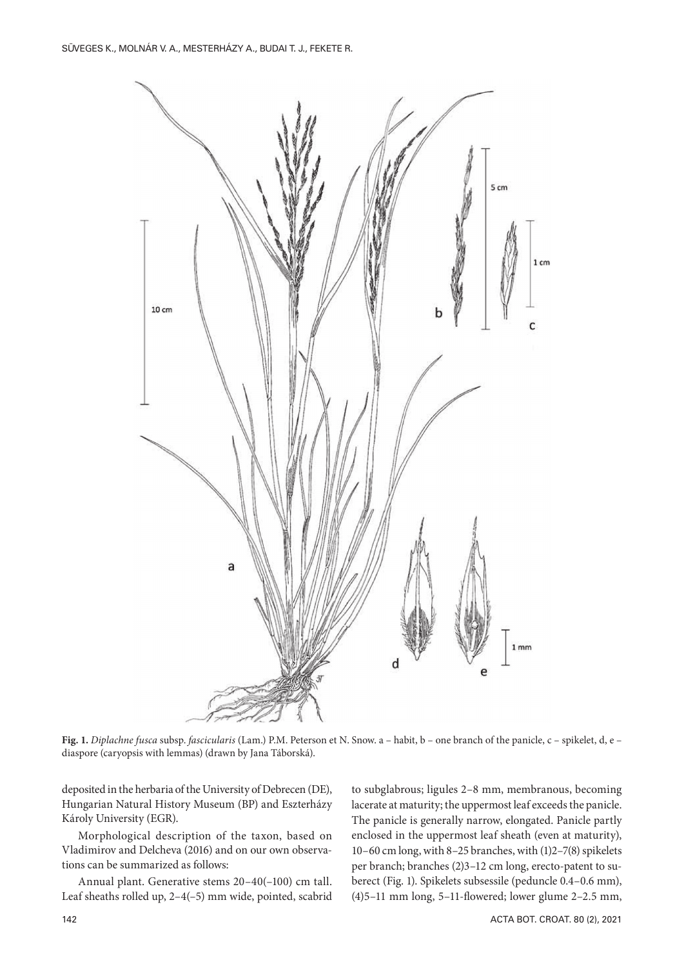

**Fig. 1.** *Diplachne fusca* subsp. *fascicularis* (Lam.) P.M. Peterson et N. Snow. a – habit, b – one branch of the panicle, c – spikelet, d, e – diaspore (caryopsis with lemmas) (drawn by Jana Táborská).

deposited in the herbaria of the University of Debrecen (DE), Hungarian Natural History Museum (BP) and Eszterházy Károly University (EGR).

Morphological description of the taxon, based on Vladimirov and Delcheva (2016) and on our own observations can be summarized as follows:

Annual plant. Generative stems 20–40(–100) cm tall. Leaf sheaths rolled up, 2–4(–5) mm wide, pointed, scabrid to subglabrous; ligules 2–8 mm, membranous, becoming lacerate at maturity; the uppermost leaf exceeds the panicle. The panicle is generally narrow, elongated. Panicle partly enclosed in the uppermost leaf sheath (even at maturity), 10–60 cm long, with 8–25 branches, with (1)2–7(8) spikelets per branch; branches (2)3–12 cm long, erecto-patent to suberect (Fig. 1). Spikelets subsessile (peduncle 0.4–0.6 mm), (4)5–11 mm long, 5–11-flowered; lower glume 2–2.5 mm,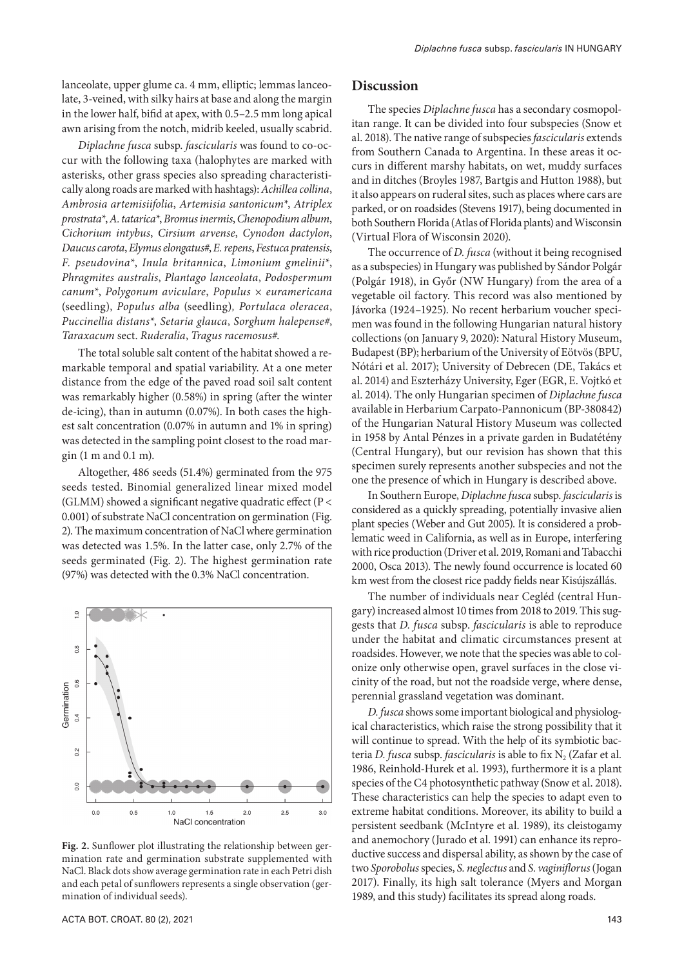lanceolate, upper glume ca. 4 mm, elliptic; lemmas lanceolate, 3-veined, with silky hairs at base and along the margin in the lower half, bifid at apex, with 0.5–2.5 mm long apical awn arising from the notch, midrib keeled, usually scabrid.

*Diplachne fusca* subsp. *fascicularis* was found to co-occur with the following taxa (halophytes are marked with asterisks, other grass species also spreading characteristically along roads are marked with hashtags): *Achillea collina*, *Ambrosia artemisiifolia*, *Artemisia santonicum\**, *Atriplex prostrata\**, *A. tatarica\**, *Bromus inermis*, *Chenopodium album*, *Cichorium intybus*, *Cirsium arvense*, *Cynodon dactylon*, *Daucus carota*, *Elymus elongatus#*, *E. repens*, *Festuca pratensis*, *F. pseudovina\**, *Inula britannica*, *Limonium gmelinii\**, *Phragmites australis*, *Plantago lanceolata*, *Podospermum canum\**, *Polygonum aviculare*, *Populus × euramericana*  (seedling), *Populus alba* (seedling)*, Portulaca oleracea*, *Puccinellia distans\**, *Setaria glauca*, *Sorghum halepense#*, *Taraxacum* sect. *Ruderalia*, *Tragus racemosus#*.

The total soluble salt content of the habitat showed a remarkable temporal and spatial variability. At a one meter distance from the edge of the paved road soil salt content was remarkably higher (0.58%) in spring (after the winter de-icing), than in autumn (0.07%). In both cases the highest salt concentration (0.07% in autumn and 1% in spring) was detected in the sampling point closest to the road margin (1 m and 0.1 m).

Altogether, 486 seeds (51.4%) germinated from the 975 seeds tested. Binomial generalized linear mixed model (GLMM) showed a significant negative quadratic effect (P < 0.001) of substrate NaCl concentration on germination (Fig. 2). The maximum concentration of NaCl where germination was detected was 1.5%. In the latter case, only 2.7% of the seeds germinated (Fig. 2). The highest germination rate (97%) was detected with the 0.3% NaCl concentration.



**Fig. 2.** Sunflower plot illustrating the relationship between germination rate and germination substrate supplemented with NaCl. Black dots show average germination rate in each Petri dish and each petal of sunflowers represents a single observation (germination of individual seeds).

#### **Discussion**

The species *Diplachne fusca* has a secondary cosmopolitan range. It can be divided into four subspecies (Snow et al. 2018). The native range of subspecies *fascicularis* extends from Southern Canada to Argentina. In these areas it occurs in different marshy habitats, on wet, muddy surfaces and in ditches (Broyles 1987, Bartgis and Hutton 1988), but it also appears on ruderal sites, such as places where cars are parked, or on roadsides (Stevens 1917), being documented in both Southern Florida (Atlas of Florida plants) and Wisconsin (Virtual Flora of Wisconsin 2020).

The occurrence of *D. fusca* (without it being recognised as a subspecies) in Hungary was published by Sándor Polgár (Polgár 1918), in Győr (NW Hungary) from the area of a vegetable oil factory. This record was also mentioned by Jávorka (1924–1925). No recent herbarium voucher specimen was found in the following Hungarian natural history collections (on January 9, 2020): Natural History Museum, Budapest (BP); herbarium of the University of Eötvös (BPU, Nótári et al. 2017); University of Debrecen (DE, Takács et al. 2014) and Eszterházy University, Eger (EGR, E. Vojtkó et al. 2014). The only Hungarian specimen of *Diplachne fusca* available in Herbarium Carpato-Pannonicum (BP-380842) of the Hungarian Natural History Museum was collected in 1958 by Antal Pénzes in a private garden in Budatétény (Central Hungary), but our revision has shown that this specimen surely represents another subspecies and not the one the presence of which in Hungary is described above.

In Southern Europe, *Diplachne fusca* subsp. *fascicularis* is considered as a quickly spreading, potentially invasive alien plant species (Weber and Gut 2005). It is considered a problematic weed in California, as well as in Europe, interfering with rice production (Driver et al. 2019, Romani and Tabacchi 2000, Osca 2013). The newly found occurrence is located 60 km west from the closest rice paddy fields near Kisújszállás.

The number of individuals near Cegléd (central Hungary) increased almost 10 times from 2018 to 2019. This suggests that *D. fusca* subsp. *fascicularis* is able to reproduce under the habitat and climatic circumstances present at roadsides. However, we note that the species was able to colonize only otherwise open, gravel surfaces in the close vicinity of the road, but not the roadside verge, where dense, perennial grassland vegetation was dominant.

*D. fusca* shows some important biological and physiological characteristics, which raise the strong possibility that it will continue to spread. With the help of its symbiotic bacteria *D. fusca* subsp. *fascicularis* is able to fix N<sub>2</sub> (Zafar et al. 1986, Reinhold-Hurek et al. 1993), furthermore it is a plant species of the C4 photosynthetic pathway (Snow et al. 2018). These characteristics can help the species to adapt even to extreme habitat conditions. Moreover, its ability to build a persistent seedbank (McIntyre et al. 1989), its cleistogamy and anemochory (Jurado et al. 1991) can enhance its reproductive success and dispersal ability, as shown by the case of two *Sporobolus* species, *S. neglectus* and *S. vaginiflorus* (Jogan 2017). Finally, its high salt tolerance (Myers and Morgan 1989, and this study) facilitates its spread along roads.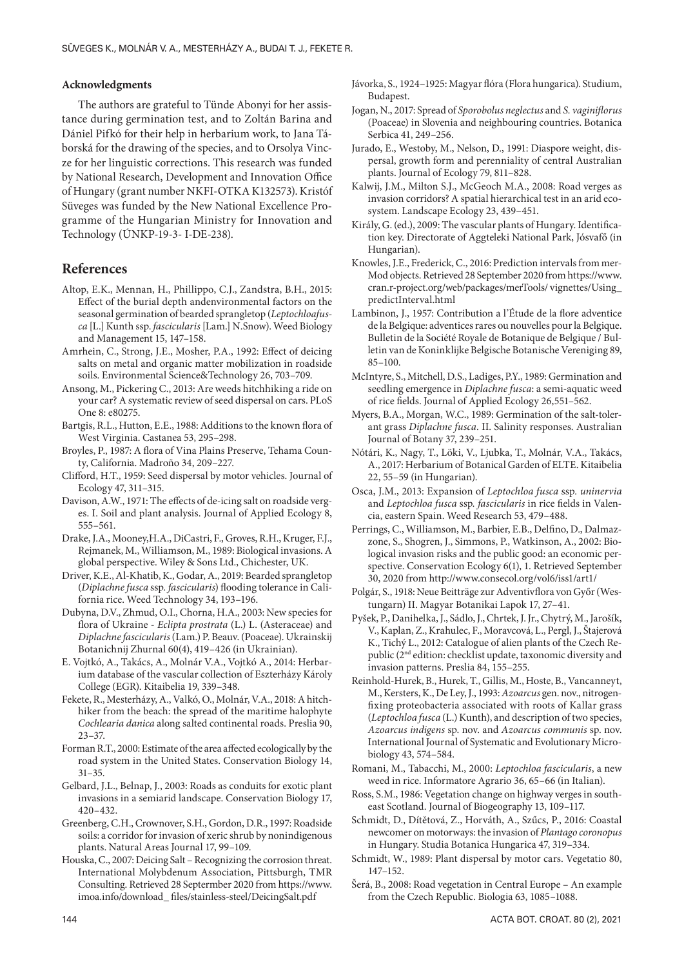#### **Acknowledgments**

The authors are grateful to Tünde Abonyi for her assistance during germination test, and to Zoltán Barina and Dániel Pifkó for their help in herbarium work, to Jana Táborská for the drawing of the species, and to Orsolya Vincze for her linguistic corrections. This research was funded by National Research, Development and Innovation Office of Hungary (grant number NKFI-OTKA K132573). Kristóf Süveges was funded by the New National Excellence Programme of the Hungarian Ministry for Innovation and Technology (ÚNKP-19-3- I-DE-238).

### **References**

- Altop, E.K., Mennan, H., Phillippo, C.J., Zandstra, B.H., 2015: Effect of the burial depth andenvironmental factors on the seasonal germination of bearded sprangletop (*Leptochloafusca* [L.] Kunth ssp. *fascicularis* [Lam.] N.Snow). Weed Biology and Management 15, 147–158.
- Amrhein, C., Strong, J.E., Mosher, P.A., 1992: Effect of deicing salts on metal and organic matter mobilization in roadside soils. Environmental Science&Technology 26, 703–709.
- Ansong, M., Pickering C., 2013: Are weeds hitchhiking a ride on your car? A systematic review of seed dispersal on cars. PLoS One 8: e80275.
- Bartgis, R.L., Hutton, E.E., 1988: Additions to the known flora of West Virginia. Castanea 53, 295–298.
- Broyles, P., 1987: A flora of Vina Plains Preserve, Tehama County, California. Madroño 34, 209–227.
- Clifford, H.T., 1959: Seed dispersal by motor vehicles. Journal of Ecology 47, 311–315.
- Davison, A.W., 1971: The effects of de-icing salt on roadside verges. I. Soil and plant analysis. Journal of Applied Ecology 8, 555–561.
- Drake, J.A., Mooney,H.A., DiCastri, F., Groves, R.H., Kruger, F.J., Rejmanek, M., Williamson, M., 1989: Biological invasions. A global perspective. Wiley & Sons Ltd., Chichester, UK.
- Driver, K.E., Al-Khatib, K., Godar, A., 2019: Bearded sprangletop (*Diplachne fusca* ssp*. fascicularis*) flooding tolerance in California rice. Weed Technology 34, 193–196.
- Dubyna, D.V., Zhmud, O.I., Chorna, H.A., 2003: New species for flora of Ukraine - *Eclipta prostrata* (L.) L. (Asteraceae) and *Diplachne fascicularis* (Lam.) P. Beauv. (Poaceae). Ukrainskij Botanichnij Zhurnal 60(4), 419–426 (in Ukrainian).
- E. Vojtkó, A., Takács, A., Molnár V.A., Vojtkó A., 2014: Herbarium database of the vascular collection of Eszterházy Károly College (EGR). Kitaibelia 19, 339–348.
- Fekete, R., Mesterházy, A., Valkó, O., Molnár, V.A., 2018: A hitchhiker from the beach: the spread of the maritime halophyte *Cochlearia danica* along salted continental roads. Preslia 90, 23–37.
- Forman R.T., 2000: Estimate of the area affected ecologically by the road system in the United States. Conservation Biology 14, 31–35.
- Gelbard, J.L., Belnap, J., 2003: Roads as conduits for exotic plant invasions in a semiarid landscape. Conservation Biology 17, 420–432.
- Greenberg, C.H., Crownover, S.H., Gordon, D.R., 1997: Roadside soils: a corridor for invasion of xeric shrub by nonindigenous plants. Natural Areas Journal 17, 99–109.
- Houska, C., 2007: Deicing Salt Recognizing the corrosion threat. International Molybdenum Association, Pittsburgh, TMR Consulting. Retrieved 28 Septermber 2020 from https://www. imoa.info/download\_ files/stainless-steel/DeicingSalt.pdf
- 
- Jávorka, S., 1924–1925: Magyar flóra (Flora hungarica). Studium, Budapest.
- Jogan, N., 2017: Spread of *Sporobolus neglectus* and *S. vaginiflorus* (Poaceae) in Slovenia and neighbouring countries. Botanica Serbica 41, 249–256.
- Jurado, E., Westoby, M., Nelson, D., 1991: Diaspore weight, dispersal, growth form and perenniality of central Australian plants. Journal of Ecology 79, 811–828.
- Kalwij, J.M., Milton S.J., McGeoch M.A., 2008: Road verges as invasion corridors? A spatial hierarchical test in an arid ecosystem. Landscape Ecology 23, 439–451.
- Király, G. (ed.), 2009: The vascular plants of Hungary. Identification key. Directorate of Aggteleki National Park, Jósvafő (in Hungarian).
- Knowles, J.E., Frederick, C., 2016: Prediction intervals from mer-Mod objects. Retrieved 28 September 2020 from https://www. cran.r-project.org/web/packages/merTools/ vignettes/Using\_ predictInterval.html
- Lambinon, J., 1957: Contribution a l'Étude de la flore adventice de la Belgique: adventices rares ou nouvelles pour la Belgique. Bulletin de la Société Royale de Botanique de Belgique / Bulletin van de Koninklijke Belgische Botanische Vereniging 89, 85–100.
- McIntyre, S., Mitchell, D.S., Ladiges, P.Y., 1989: Germination and seedling emergence in *Diplachne fusca*: a semi-aquatic weed of rice fields. Journal of Applied Ecology 26,551–562.
- Myers, B.A., Morgan, W.C., 1989: Germination of the salt-tolerant grass *Diplachne fusca*. II. Salinity responses. Australian Journal of Botany 37, 239–251.
- Nótári, K., Nagy, T., Löki, V., Ljubka, T., Molnár, V.A., Takács, A., 2017: Herbarium of Botanical Garden of ELTE. Kitaibelia 22, 55–59 (in Hungarian).
- Osca, J.M., 2013: Expansion of *Leptochloa fusca* ssp*. uninervia*  and *Leptochloa fusca* ssp*. fascicularis* in rice fields in Valencia, eastern Spain. Weed Research 53, 479–488.
- Perrings, C., Williamson, M., Barbier, E.B., Delfino, D., Dalmazzone, S., Shogren, J., Simmons, P., Watkinson, A., 2002: Biological invasion risks and the public good: an economic perspective. Conservation Ecology 6(1), 1. Retrieved September 30, 2020 from http://www.consecol.org/vol6/iss1/art1/
- Polgár, S., 1918: Neue Beitträge zur Adventivflora von Győr (Westungarn) II. Magyar Botanikai Lapok 17, 27–41.
- Pyšek, P., Danihelka, J., Sádlo, J., Chrtek, J. Jr., Chytrý, M., Jarošík, V., Kaplan, Z., Krahulec, F., Moravcová, L., Pergl, J., Štajerová K., Tichý L., 2012: Catalogue of alien plants of the Czech Republic (2nd edition: checklist update, taxonomic diversity and invasion patterns. Preslia 84, 155–255.
- Reinhold-Hurek, B., Hurek, T., Gillis, M., Hoste, B., Vancanneyt, M., Kersters, K., De Ley, J., 1993: *Azoarcus* gen. nov., nitrogenfixing proteobacteria associated with roots of Kallar grass (*Leptochloa fusca* (L.) Kunth), and description of two species, *Azoarcus indigens* sp. nov. and *Azoarcus communis* sp. nov. International Journal of Systematic and Evolutionary Microbiology 43, 574–584.
- Romani, M., Tabacchi, M., 2000: *Leptochloa fascicularis*, a new weed in rice. Informatore Agrario 36, 65–66 (in Italian).
- Ross, S.M., 1986: Vegetation change on highway verges in southeast Scotland. Journal of Biogeography 13, 109–117.
- Schmidt, D., Dítětová, Z., Horváth, A., Szűcs, P., 2016: Coastal newcomer on motorways: the invasion of *Plantago coronopus* in Hungary. Studia Botanica Hungarica 47, 319–334.
- Schmidt, W., 1989: Plant dispersal by motor cars. Vegetatio 80, 147–152.
- Šerá, B., 2008: Road vegetation in Central Europe An example from the Czech Republic. Biologia 63, 1085–1088.